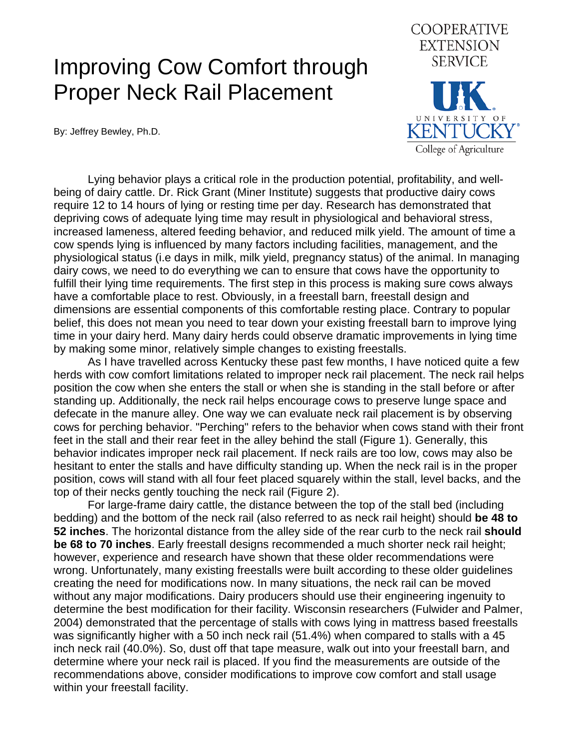## Improving Cow Comfort through Proper Neck Rail Placement

By: Jeffrey Bewley, Ph.D.



 Lying behavior plays a critical role in the production potential, profitability, and wellbeing of dairy cattle. Dr. Rick Grant (Miner Institute) suggests that productive dairy cows require 12 to 14 hours of lying or resting time per day. Research has demonstrated that depriving cows of adequate lying time may result in physiological and behavioral stress, increased lameness, altered feeding behavior, and reduced milk yield. The amount of time a cow spends lying is influenced by many factors including facilities, management, and the physiological status (i.e days in milk, milk yield, pregnancy status) of the animal. In managing dairy cows, we need to do everything we can to ensure that cows have the opportunity to fulfill their lying time requirements. The first step in this process is making sure cows always have a comfortable place to rest. Obviously, in a freestall barn, freestall design and dimensions are essential components of this comfortable resting place. Contrary to popular belief, this does not mean you need to tear down your existing freestall barn to improve lying time in your dairy herd. Many dairy herds could observe dramatic improvements in lying time by making some minor, relatively simple changes to existing freestalls.

 As I have travelled across Kentucky these past few months, I have noticed quite a few herds with cow comfort limitations related to improper neck rail placement. The neck rail helps position the cow when she enters the stall or when she is standing in the stall before or after standing up. Additionally, the neck rail helps encourage cows to preserve lunge space and defecate in the manure alley. One way we can evaluate neck rail placement is by observing cows for perching behavior. "Perching" refers to the behavior when cows stand with their front feet in the stall and their rear feet in the alley behind the stall (Figure 1). Generally, this behavior indicates improper neck rail placement. If neck rails are too low, cows may also be hesitant to enter the stalls and have difficulty standing up. When the neck rail is in the proper position, cows will stand with all four feet placed squarely within the stall, level backs, and the top of their necks gently touching the neck rail (Figure 2).

 For large-frame dairy cattle, the distance between the top of the stall bed (including bedding) and the bottom of the neck rail (also referred to as neck rail height) should **be 48 to 52 inches**. The horizontal distance from the alley side of the rear curb to the neck rail **should be 68 to 70 inches**. Early freestall designs recommended a much shorter neck rail height; however, experience and research have shown that these older recommendations were wrong. Unfortunately, many existing freestalls were built according to these older guidelines creating the need for modifications now. In many situations, the neck rail can be moved without any major modifications. Dairy producers should use their engineering ingenuity to determine the best modification for their facility. Wisconsin researchers (Fulwider and Palmer, 2004) demonstrated that the percentage of stalls with cows lying in mattress based freestalls was significantly higher with a 50 inch neck rail (51.4%) when compared to stalls with a 45 inch neck rail (40.0%). So, dust off that tape measure, walk out into your freestall barn, and determine where your neck rail is placed. If you find the measurements are outside of the recommendations above, consider modifications to improve cow comfort and stall usage within your freestall facility.